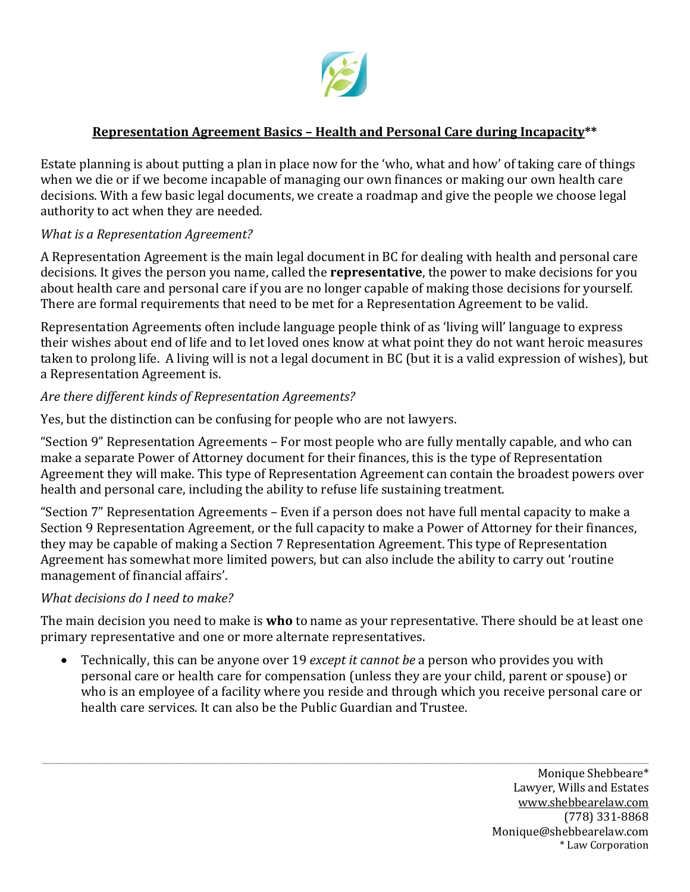

### **Representation Agreement Basics – Health and Personal Care during Incapacity\*\***

Estate planning is about putting a plan in place now for the 'who, what and how' of taking care of things when we die or if we become incapable of managing our own finances or making our own health care decisions. With a few basic legal documents, we create a roadmap and give the people we choose legal authority to act when they are needed.

### *What is a Representation Agreement?*

A Representation Agreement is the main legal document in BC for dealing with health and personal care decisions. It gives the person you name, called the **representative**, the power to make decisions for you about health care and personal care if you are no longer capable of making those decisions for yourself. There are formal requirements that need to be met for a Representation Agreement to be valid.

Representation Agreements often include language people think of as 'living will' language to express their wishes about end of life and to let loved ones know at what point they do not want heroic measures taken to prolong life. A living will is not a legal document in BC (but it is a valid expression of wishes), but a Representation Agreement is.

#### *Are there different kinds of Representation Agreements?*

Yes, but the distinction can be confusing for people who are not lawyers.

"Section 9" Representation Agreements – For most people who are fully mentally capable, and who can make a separate Power of Attorney document for their finances, this is the type of Representation Agreement they will make. This type of Representation Agreement can contain the broadest powers over health and personal care, including the ability to refuse life sustaining treatment.

"Section 7" Representation Agreements – Even if a person does not have full mental capacity to make a Section 9 Representation Agreement, or the full capacity to make a Power of Attorney for their finances, they may be capable of making a Section 7 Representation Agreement. This type of Representation Agreement has somewhat more limited powers, but can also include the ability to carry out 'routine management of financial affairs'.

#### *What decisions do I need to make?*

The main decision you need to make is **who** to name as your representative. There should be at least one primary representative and one or more alternate representatives.

• Technically, this can be anyone over 19 *except it cannot be* a person who provides you with personal care or health care for compensation (unless they are your child, parent or spouse) or who is an employee of a facility where you reside and through which you receive personal care or health care services. It can also be the Public Guardian and Trustee.

\_\_\_\_\_\_\_\_\_\_\_\_\_\_\_\_\_\_\_\_\_\_\_\_\_\_\_\_\_\_\_\_\_\_\_\_\_\_\_\_\_\_\_\_\_\_\_\_\_\_\_\_\_\_\_\_\_\_\_\_\_\_\_\_\_\_\_\_\_\_\_\_\_\_\_\_\_\_\_\_\_\_\_\_\_\_\_\_\_\_\_\_\_\_\_\_\_\_\_\_\_\_\_\_\_\_\_\_\_\_\_\_\_\_\_\_\_\_\_\_\_\_\_\_\_\_\_\_\_\_\_\_ Monique Shebbeare\* Lawyer, Wills and Estates [www.shebbearelaw.com](http://www.shebbearelaw.com/) (778) 331-8868 Monique@shebbearelaw.com \* Law Corporation